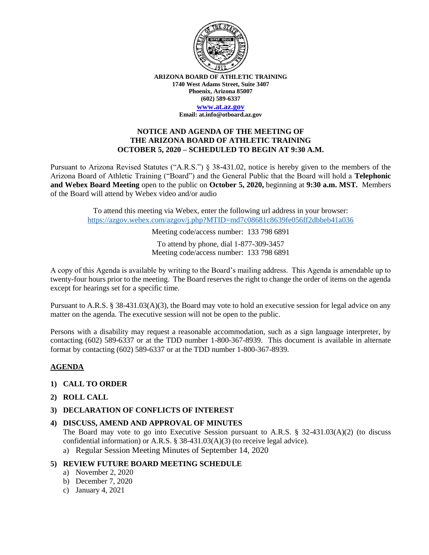

**ARIZONA BOARD OF ATHLETIC TRAINING 1740 West Adams Street, Suite 3407 Phoenix, Arizona 85007 (602) 589-6337**

**[www.at.az.gov](https://www.at.az.gov/)**

**Email: at.info@otboard.az.gov**

#### **NOTICE AND AGENDA OF THE MEETING OF THE ARIZONA BOARD OF ATHLETIC TRAINING OCTOBER 5, 2020 – SCHEDULED TO BEGIN AT 9:30 A.M.**

Pursuant to Arizona Revised Statutes ("A.R.S.") § 38-431.02, notice is hereby given to the members of the Arizona Board of Athletic Training ("Board") and the General Public that the Board will hold a **Telephonic and Webex Board Meeting** open to the public on **October 5, 2020,** beginning at **9:30 a.m. MST.** Members of the Board will attend by Webex video and/or audio

> To attend this meeting via Webex, enter the following url address in your browser: <https://azgov.webex.com/azgov/j.php?MTID=md7c08681c8639fe056ff2dbbeb41a036>

> > Meeting code/access number: 133 798 6891

To attend by phone, dial 1-877-309-3457 Meeting code/access number: 133 798 6891

A copy of this Agenda is available by writing to the Board's mailing address. This Agenda is amendable up to twenty-four hours prior to the meeting. The Board reserves the right to change the order of items on the agenda except for hearings set for a specific time.

Pursuant to A.R.S. § 38-431.03(A)(3), the Board may vote to hold an executive session for legal advice on any matter on the agenda. The executive session will not be open to the public.

Persons with a disability may request a reasonable accommodation, such as a sign language interpreter, by contacting (602) 589-6337 or at the TDD number 1-800-367-8939. This document is available in alternate format by contacting (602) 589-6337 or at the TDD number 1-800-367-8939.

# **AGENDA**

- **1) CALL TO ORDER**
- **2) ROLL CALL**
- **3) DECLARATION OF CONFLICTS OF INTEREST**

#### **4) DISCUSS, AMEND AND APPROVAL OF MINUTES**

The Board may vote to go into Executive Session pursuant to A.R.S.  $\S$  32-431.03(A)(2) (to discuss confidential information) or A.R.S. § 38-431.03(A)(3) (to receive legal advice).

- a) Regular Session Meeting Minutes of September 14, 2020
- **5) REVIEW FUTURE BOARD MEETING SCHEDULE**
	- a) November 2, 2020
	- b) December 7, 2020
	- c) January 4, 2021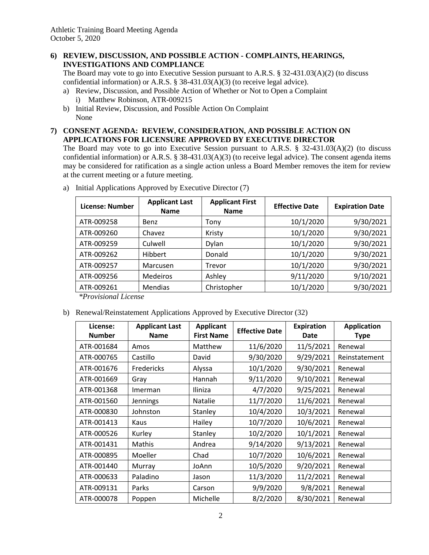Athletic Training Board Meeting Agenda October 5, 2020

## **6) REVIEW, DISCUSSION, AND POSSIBLE ACTION - COMPLAINTS, HEARINGS, INVESTIGATIONS AND COMPLIANCE**

The Board may vote to go into Executive Session pursuant to A.R.S. § 32-431.03(A)(2) (to discuss confidential information) or A.R.S. § 38-431.03(A)(3) (to receive legal advice).

- a) Review, Discussion, and Possible Action of Whether or Not to Open a Complaint i) Matthew Robinson, ATR-009215
- b) Initial Review, Discussion, and Possible Action On Complaint None

#### **7) CONSENT AGENDA: REVIEW, CONSIDERATION, AND POSSIBLE ACTION ON APPLICATIONS FOR LICENSURE APPROVED BY EXECUTIVE DIRECTOR**

The Board may vote to go into Executive Session pursuant to A.R.S. § 32-431.03(A)(2) (to discuss confidential information) or A.R.S. § 38-431.03(A)(3) (to receive legal advice). The consent agenda items may be considered for ratification as a single action unless a Board Member removes the item for review at the current meeting or a future meeting.

| <b>License: Number</b> | <b>Applicant Last</b><br><b>Name</b> | <b>Applicant First</b><br><b>Name</b> | <b>Effective Date</b> | <b>Expiration Date</b> |
|------------------------|--------------------------------------|---------------------------------------|-----------------------|------------------------|
| ATR-009258             | Benz                                 | Tony                                  | 10/1/2020             | 9/30/2021              |
| ATR-009260             | Chavez                               | Kristy                                | 10/1/2020             | 9/30/2021              |
| ATR-009259             | Culwell                              | Dylan                                 | 10/1/2020             | 9/30/2021              |
| ATR-009262             | <b>Hibbert</b>                       | Donald                                | 10/1/2020             | 9/30/2021              |
| ATR-009257             | Marcusen                             | Trevor                                | 10/1/2020             | 9/30/2021              |
| ATR-009256             | <b>Medeiros</b>                      | Ashley                                | 9/11/2020             | 9/10/2021              |
| ATR-009261             | Mendias                              | Christopher                           | 10/1/2020             | 9/30/2021              |

a) Initial Applications Approved by Executive Director (7)

*\*Provisional License*

b) Renewal/Reinstatement Applications Approved by Executive Director (32)

| License:<br><b>Number</b> | <b>Applicant Last</b><br><b>Name</b> | <b>Applicant</b><br><b>First Name</b> | <b>Effective Date</b> | <b>Expiration</b><br><b>Date</b> | <b>Application</b><br><b>Type</b> |
|---------------------------|--------------------------------------|---------------------------------------|-----------------------|----------------------------------|-----------------------------------|
| ATR-001684                | Amos                                 | Matthew                               | 11/6/2020             | 11/5/2021                        | Renewal                           |
| ATR-000765                | Castillo                             | David                                 | 9/30/2020             | 9/29/2021                        | Reinstatement                     |
| ATR-001676                | Fredericks                           | Alyssa                                | 10/1/2020             | 9/30/2021                        | Renewal                           |
| ATR-001669                | Gray                                 | Hannah                                | 9/11/2020             | 9/10/2021                        | Renewal                           |
| ATR-001368                | Imerman                              | Iliniza                               | 4/7/2020              | 9/25/2021                        | Renewal                           |
| ATR-001560                | Jennings                             | Natalie                               | 11/7/2020             | 11/6/2021                        | Renewal                           |
| ATR-000830                | Johnston                             | Stanley                               | 10/4/2020             | 10/3/2021                        | Renewal                           |
| ATR-001413                | Kaus                                 | Hailey                                | 10/7/2020             | 10/6/2021                        | Renewal                           |
| ATR-000526                | Kurley                               | Stanley                               | 10/2/2020             | 10/1/2021                        | Renewal                           |
| ATR-001431                | Mathis                               | Andrea                                | 9/14/2020             | 9/13/2021                        | Renewal                           |
| ATR-000895                | Moeller                              | Chad                                  | 10/7/2020             | 10/6/2021                        | Renewal                           |
| ATR-001440                | Murray                               | JoAnn                                 | 10/5/2020             | 9/20/2021                        | Renewal                           |
| ATR-000633                | Paladino                             | Jason                                 | 11/3/2020             | 11/2/2021                        | Renewal                           |
| ATR-009131                | Parks                                | Carson                                | 9/9/2020              | 9/8/2021                         | Renewal                           |
| ATR-000078                | Poppen                               | Michelle                              | 8/2/2020              | 8/30/2021                        | Renewal                           |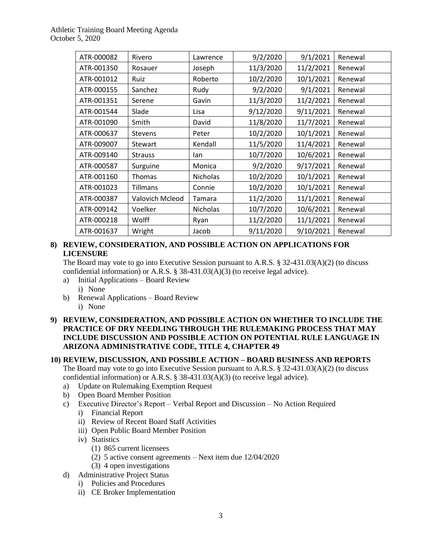# Athletic Training Board Meeting Agenda October 5, 2020

| ATR-000082 | Rivero          | Lawrence        | 9/2/2020  | 9/1/2021  | Renewal |
|------------|-----------------|-----------------|-----------|-----------|---------|
| ATR-001350 | Rosauer         | Joseph          | 11/3/2020 | 11/2/2021 | Renewal |
| ATR-001012 | Ruiz            | Roberto         | 10/2/2020 | 10/1/2021 | Renewal |
| ATR-000155 | Sanchez         | Rudy            | 9/2/2020  | 9/1/2021  | Renewal |
| ATR-001351 | Serene          | Gavin           | 11/3/2020 | 11/2/2021 | Renewal |
| ATR-001544 | Slade           | Lisa            | 9/12/2020 | 9/11/2021 | Renewal |
| ATR-001090 | Smith           | David           | 11/8/2020 | 11/7/2021 | Renewal |
| ATR-000637 | <b>Stevens</b>  | Peter           | 10/2/2020 | 10/1/2021 | Renewal |
| ATR-009007 | <b>Stewart</b>  | Kendall         | 11/5/2020 | 11/4/2021 | Renewal |
| ATR-009140 | <b>Strauss</b>  | lan             | 10/7/2020 | 10/6/2021 | Renewal |
| ATR-000587 | Surguine        | Monica          | 9/2/2020  | 9/17/2021 | Renewal |
| ATR-001160 | Thomas          | <b>Nicholas</b> | 10/2/2020 | 10/1/2021 | Renewal |
| ATR-001023 | <b>Tillmans</b> | Connie          | 10/2/2020 | 10/1/2021 | Renewal |
| ATR-000387 | Valovich Mcleod | Tamara          | 11/2/2020 | 11/1/2021 | Renewal |
| ATR-009142 | Voelker         | <b>Nicholas</b> | 10/7/2020 | 10/6/2021 | Renewal |
| ATR-000218 | Wolff           | Ryan            | 11/2/2020 | 11/1/2021 | Renewal |
| ATR-001637 | Wright          | Jacob           | 9/11/2020 | 9/10/2021 | Renewal |

## **8) REVIEW, CONSIDERATION, AND POSSIBLE ACTION ON APPLICATIONS FOR LICENSURE**

The Board may vote to go into Executive Session pursuant to A.R.S. § 32-431.03(A)(2) (to discuss confidential information) or A.R.S. § 38-431.03(A)(3) (to receive legal advice).

- a) Initial Applications Board Review
	- i) None
- b) Renewal Applications Board Review
	- i) None

## **9) REVIEW, CONSIDERATION, AND POSSIBLE ACTION ON WHETHER TO INCLUDE THE PRACTICE OF DRY NEEDLING THROUGH THE RULEMAKING PROCESS THAT MAY INCLUDE DISCUSSION AND POSSIBLE ACTION ON POTENTIAL RULE LANGUAGE IN ARIZONA ADMINISTRATIVE CODE, TITLE 4, CHAPTER 49**

# **10) REVIEW, DISCUSSION, AND POSSIBLE ACTION – BOARD BUSINESS AND REPORTS**

The Board may vote to go into Executive Session pursuant to A.R.S. § 32-431.03(A)(2) (to discuss confidential information) or A.R.S. § 38-431.03(A)(3) (to receive legal advice).

- a) Update on Rulemaking Exemption Request
- b) Open Board Member Position
- c) Executive Director's Report Verbal Report and Discussion No Action Required i) Financial Report
	- ii) Review of Recent Board Staff Activities
	- iii) Open Public Board Member Position
	- iv) Statistics
		- (1) 865 current licensees
		- (2) 5 active consent agreements Next item due 12/04/2020
		- (3) 4 open investigations
- d) Administrative Project Status
	- i) Policies and Procedures
	- ii) CE Broker Implementation